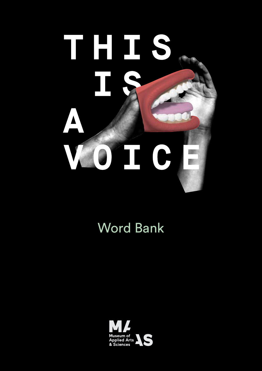## THIS IA  $\Delta$ EC

## Word Bank

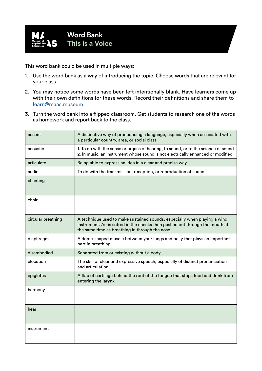

This word bank could be used in multiple ways:

- 1. Use the word bank as a way of introducing the topic. Choose words that are relevant for your class.
- 2. You may notice some words have been left intentionally blank. Have learners come up with their own definitions for these words. Record their definitions and share them to [learn@maas.museum](mailto:learn%40maas.museum?subject=)
- 3. Turn the word bank into a flipped classroom. Get students to research one of the words as homework and report back to the class.

| accent             | A distinctive way of pronouncing a language, especially when associated with<br>a particular country, area, or social class                                                                                  |
|--------------------|--------------------------------------------------------------------------------------------------------------------------------------------------------------------------------------------------------------|
| acoustic           | 1. To do with the sense or organs of hearing, to sound, or to the science of sound<br>2. In music, an instrument whose sound is not electrically enhanced or modified                                        |
| articulate         | Being able to express an idea in a clear and precise way                                                                                                                                                     |
| audio              | To do with the transmission, reception, or reproduction of sound                                                                                                                                             |
| chanting           |                                                                                                                                                                                                              |
| choir              |                                                                                                                                                                                                              |
| circular breathing | A technique used to make sustained sounds, especially when playing a wind<br>instrument. Air is sotred in the cheeks then pushed out through the mouth at<br>the same time as breathing in through the nose. |
| diaphragm          | A dome-shaped muscle between your lungs and belly that plays an important<br>part in breathing                                                                                                               |
| disembodied        | Separated from or existing without a body                                                                                                                                                                    |
| elocution          | The skill of clear and expressive speech, especially of distinct pronunciation<br>and articulation                                                                                                           |
| epiglottis         | A flap of cartilage behind the root of the tongue that stops food and drink from<br>entering the larynx                                                                                                      |
| harmony            |                                                                                                                                                                                                              |
| hear               |                                                                                                                                                                                                              |
| instrument         |                                                                                                                                                                                                              |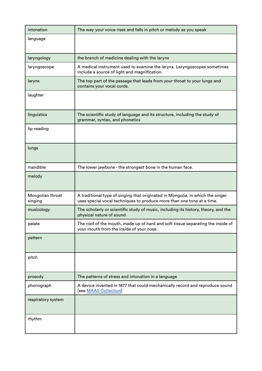| intonation                  | The way your voice rises and falls in pitch or melody as you speak                                                                                       |
|-----------------------------|----------------------------------------------------------------------------------------------------------------------------------------------------------|
| language                    |                                                                                                                                                          |
| laryngology                 | the branch of medicine dealing with the larynx                                                                                                           |
| laryngoscope                | A medical instrument used to examine the larynx. Laryngoscopes sometimes<br>include a source of light and magnification.                                 |
| larynx                      | The top part of the passage that leads from your throat to your lungs and<br>contains your vocal cords.                                                  |
| laughter                    |                                                                                                                                                          |
| linguistics                 | The scientific study of language and its structure, including the study of<br>grammar, syntax, and phonetics                                             |
| lip-reading                 |                                                                                                                                                          |
| lungs                       |                                                                                                                                                          |
| mandible                    | The lower jawbone - the strongest bone in the human face.                                                                                                |
| melody                      |                                                                                                                                                          |
| Mongolian throat<br>singing | A traditional type of singing that originated in Mongolia, in which the singer<br>uses special vocal techniques to produce more than one tone at a time. |
| musicology                  | The scholarly or scientific study of music, including its history, theory, and the<br>physical nature of sound                                           |
| palate                      | The roof of the mouth, made up of hard and soft tissue separating the inside of<br>your mouth from the inside of your nose.                              |
| pattern                     |                                                                                                                                                          |
| pitch                       |                                                                                                                                                          |
| prosody                     | The patterns of stress and intonation in a language                                                                                                      |
| phonograph                  | A device invented in 1877 that could mechanically record and reproduce sound<br>(see MAAS Collection)                                                    |
| respiratory system          |                                                                                                                                                          |
| rhythm                      |                                                                                                                                                          |